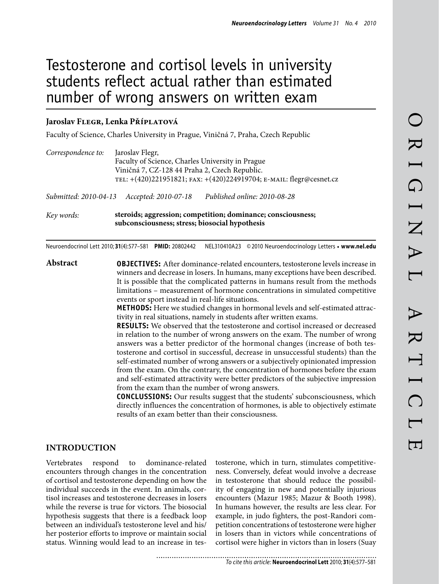# Testosterone and cortisol levels in university students reflect actual rather than estimated number of wrong answers on written exam

#### **Jaroslav Flegr, Lenka Příplatová**

Faculty of Science, Charles University in Prague, Viničná 7, Praha, Czech Republic

| Correspondence to: | Jaroslav Flegr,<br>Faculty of Science, Charles University in Prague<br>Viničná 7, CZ-128 44 Praha 2, Czech Republic.<br>TEL: +(420)221951821; FAX: +(420)224919704; E-MAIL: flegr@cesnet.cz |                              |  |  |  |  |  |  |  |  |
|--------------------|---------------------------------------------------------------------------------------------------------------------------------------------------------------------------------------------|------------------------------|--|--|--|--|--|--|--|--|
|                    | Submitted: 2010-04-13 Accepted: 2010-07-18                                                                                                                                                  | Published online: 2010-08-28 |  |  |  |  |  |  |  |  |
| Key words:         | steroids; aggression; competition; dominance; consciousness;<br>subconsciousness; stress; biosocial hypothesis                                                                              |                              |  |  |  |  |  |  |  |  |

Neuroendocrinol Lett 2010; **31**(4):577–581 **PMID:** 20802442 NEL310410A23 ©2010 Neuroendocrinology Letters • **www.nel.edu**

**Abstract OBJECTIVES:** After dominance-related encounters, testosterone levels increase in winners and decrease in losers. In humans, many exceptions have been described. It is possible that the complicated patterns in humans result from the methods limitations – measurement of hormone concentrations in simulated competitive events or sport instead in real-life situations.

> **METHODS:** Here we studied changes in hormonal levels and self-estimated attractivity in real situations, namely in students after written exams.

> **RESULTS:** We observed that the testosterone and cortisol increased or decreased in relation to the number of wrong answers on the exam. The number of wrong answers was a better predictor of the hormonal changes (increase of both testosterone and cortisol in successful, decrease in unsuccessful students) than the self-estimated number of wrong answers or a subjectively opinionated impression from the exam. On the contrary, the concentration of hormones before the exam and self-estimated attractivity were better predictors of the subjective impression from the exam than the number of wrong answers.

> **CONCLUSSIONS:** Our results suggest that the students' subconsciousness, which directly influences the concentration of hormones, is able to objectively estimate results of an exam better than their consciousness.

## **Introduction**

Vertebrates respond to dominance-related encounters through changes in the concentration of cortisol and testosterone depending on how the individual succeeds in the event. In animals, cortisol increases and testosterone decreases in losers while the reverse is true for victors. The biosocial hypothesis suggests that there is a feedback loop between an individual's testosterone level and his/ her posterior efforts to improve or maintain social status. Winning would lead to an increase in testosterone, which in turn, stimulates competitiveness. Conversely, defeat would involve a decrease in testosterone that should reduce the possibility of engaging in new and potentially injurious encounters (Mazur 1985; Mazur & Booth 1998). In humans however, the results are less clear. For example, in judo fighters, the post-Randori competition concentrations of testosterone were higher in losers than in victors while concentrations of cortisol were higher in victors than in losers (Suay

*To cite this article:* **Neuroendocrinol Lett** 2010; **31**(4):577–581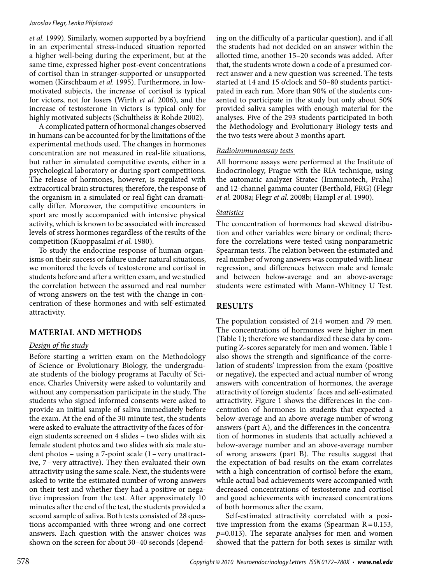#### *Jaroslav Flegr, Lenka Příplatová*

*et al.* 1999). Similarly, women supported by a boyfriend in an experimental stress-induced situation reported a higher well-being during the experiment, but at the same time, expressed higher post-event concentrations of cortisol than in stranger-supported or unsupported women (Kirschbaum *et al.* 1995). Furthermore, in lowmotivated subjects, the increase of cortisol is typical for victors, not for losers (Wirth *et al.* 2006), and the increase of testosterone in victors is typical only for highly motivated subjects (Schultheiss & Rohde 2002).

A complicated pattern of hormonal changes observed in humans can be accounted for by the limitations of the experimental methods used. The changes in hormones concentration are not measured in real-life situations, but rather in simulated competitive events, either in a psychological laboratory or during sport competitions. The release of hormones, however, is regulated with extracortical brain structures; therefore, the response of the organism in a simulated or real fight can dramatically differ. Moreover, the competitive encounters in sport are mostly accompanied with intensive physical activity, which is known to be associated with increased levels of stress hormones regardless of the results of the competition (Kuoppasalmi *et al.* 1980).

To study the endocrine response of human organisms on their success or failure under natural situations, we monitored the levels of testosterone and cortisol in students before and after a written exam, and we studied the correlation between the assumed and real number of wrong answers on the test with the change in concentration of these hormones and with self-estimated attractivity.

# **MATERIAL AND METHODS**

#### *Design of the study*

Before starting a written exam on the Methodology of Science or Evolutionary Biology, the undergraduate students of the biology programs at Faculty of Science, Charles University were asked to voluntarily and without any compensation participate in the study. The students who signed informed consents were asked to provide an initial sample of saliva immediately before the exam. At the end of the 30 minute test, the students were asked to evaluate the attractivity of the faces of foreign students screened on 4 slides – two slides with six female student photos and two slides with six male student photos – using a 7-point scale (1–very unattractive, 7–very attractive). They then evaluated their own attractivity using the same scale. Next, the students were asked to write the estimated number of wrong answers on their test and whether they had a positive or negative impression from the test. After approximately 10 minutes after the end of the test, the students provided a second sample of saliva. Both tests consisted of 28 questions accompanied with three wrong and one correct answers. Each question with the answer choices was shown on the screen for about 30–40 seconds (depending on the difficulty of a particular question), and if all the students had not decided on an answer within the allotted time, another 15–20 seconds was added. After that, the students wrote down a code of a presumed correct answer and a new question was screened. The tests started at 14 and 15 o'clock and 50–80 students participated in each run. More than 90% of the students consented to participate in the study but only about 50% provided saliva samples with enough material for the analyses. Five of the 293 students participated in both the Methodology and Evolutionary Biology tests and the two tests were about 3 months apart.

#### *Radioimmunoassay tests*

All hormone assays were performed at the Institute of Endocrinology, Prague with the RIA technique, using the automatic analyzer Stratec (Immunotech, Praha) and 12-channel gamma counter (Berthold, FRG) (Flegr *et al.* 2008a; Flegr *et al.* 2008b; Hampl *et al.* 1990).

#### *Statistics*

The concentration of hormones had skewed distribution and other variables were binary or ordinal; therefore the correlations were tested using nonparametric Spearman tests. The relation between the estimated and real number of wrong answers was computed with linear regression, and differences between male and female and between below-average and an above-average students were estimated with Mann-Whitney U Test.

# **RESULTS**

The population consisted of 214 women and 79 men. The concentrations of hormones were higher in men (Table 1); therefore we standardized these data by computing Z-scores separately for men and women. Table 1 also shows the strength and significance of the correlation of students' impression from the exam (positive or negative), the expected and actual number of wrong answers with concentration of hormones, the average attractivity of foreign students´ faces and self-estimated attractivity. Figure 1 shows the differences in the concentration of hormones in students that expected a below-average and an above-average number of wrong answers (part A), and the differences in the concentration of hormones in students that actually achieved a below-average number and an above-average number of wrong answers (part B). The results suggest that the expectation of bad results on the exam correlates with a high concentration of cortisol before the exam, while actual bad achievements were accompanied with decreased concentrations of testosterone and cortisol and good achievements with increased concentrations of both hormones after the exam.

Self-estimated attractivity correlated with a positive impression from the exams (Spearman  $R = 0.153$ , *p=*0.013). The separate analyses for men and women showed that the pattern for both sexes is similar with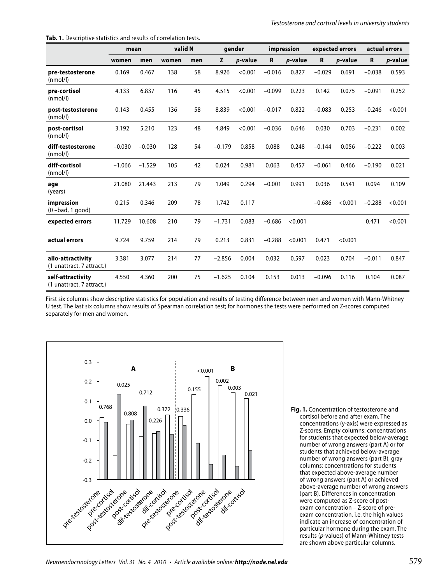|                                                | mean     |          | valid N |     | gender   |         | impression  |         | expected errors |         | actual errors |         |
|------------------------------------------------|----------|----------|---------|-----|----------|---------|-------------|---------|-----------------|---------|---------------|---------|
|                                                | women    | men      | women   | men | z        | p-value | $\mathbf R$ | p-value | R               | p-value | R             | p-value |
| pre-testosterone<br>(nmol/l)                   | 0.169    | 0.467    | 138     | 58  | 8.926    | < 0.001 | $-0.016$    | 0.827   | $-0.029$        | 0.691   | $-0.038$      | 0.593   |
| pre-cortisol<br>(nmol/l)                       | 4.133    | 6.837    | 116     | 45  | 4.515    | < 0.001 | $-0.099$    | 0.223   | 0.142           | 0.075   | $-0.091$      | 0.252   |
| post-testosterone<br>(nmol/l)                  | 0.143    | 0.455    | 136     | 58  | 8.839    | < 0.001 | $-0.017$    | 0.822   | $-0.083$        | 0.253   | $-0.246$      | < 0.001 |
| post-cortisol<br>(nmol/l)                      | 3.192    | 5.210    | 123     | 48  | 4.849    | < 0.001 | $-0.036$    | 0.646   | 0.030           | 0.703   | $-0.231$      | 0.002   |
| diff-testosterone<br>(nmol/l)                  | $-0.030$ | $-0.030$ | 128     | 54  | $-0.179$ | 0.858   | 0.088       | 0.248   | $-0.144$        | 0.056   | $-0.222$      | 0.003   |
| diff-cortisol<br>(nmol/l)                      | $-1.066$ | $-1.529$ | 105     | 42  | 0.024    | 0.981   | 0.063       | 0.457   | $-0.061$        | 0.466   | $-0.190$      | 0.021   |
| age<br>(years)                                 | 21.080   | 21.443   | 213     | 79  | 1.049    | 0.294   | $-0.001$    | 0.991   | 0.036           | 0.541   | 0.094         | 0.109   |
| impression<br>$(0 - bad, 1 good)$              | 0.215    | 0.346    | 209     | 78  | 1.742    | 0.117   |             |         | $-0.686$        | < 0.001 | $-0.288$      | < 0.001 |
| expected errors                                | 11.729   | 10.608   | 210     | 79  | $-1.731$ | 0.083   | $-0.686$    | < 0.001 |                 |         | 0.471         | < 0.001 |
| actual errors                                  | 9.724    | 9.759    | 214     | 79  | 0.213    | 0.831   | $-0.288$    | < 0.001 | 0.471           | < 0.001 |               |         |
| allo-attractivity<br>(1 unattract. 7 attract.) | 3.381    | 3.077    | 214     | 77  | $-2.856$ | 0.004   | 0.032       | 0.597   | 0.023           | 0.704   | $-0.011$      | 0.847   |
| self-attractivity<br>(1 unattract. 7 attract.) | 4.550    | 4.360    | 200     | 75  | $-1.625$ | 0.104   | 0.153       | 0.013   | $-0.096$        | 0.116   | 0.104         | 0.087   |

First six columns show descriptive statistics for population and results of testing difference between men and women with Mann-Whitney U test. The last six columns show results of Spearman correlation test; for hormones the tests were performed on Z-scores computed separately for men and women.



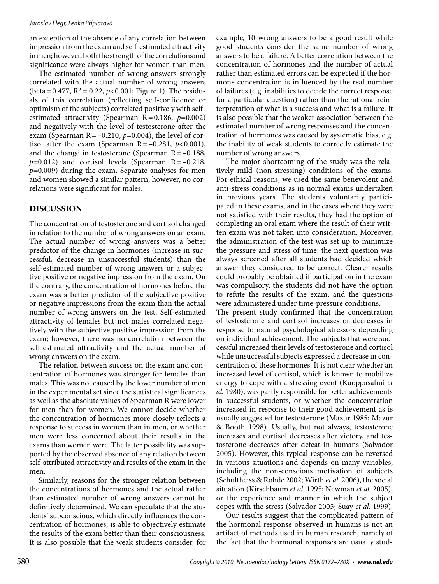an exception of the absence of any correlation between impression from the exam and self-estimated attractivity in men; however, both the strength of the correlations and significance were always higher for women than men.

The estimated number of wrong answers strongly correlated with the actual number of wrong answers  $(\text{beta}=0.477, R^2=0.22, p<0.001; \text{Figure 1}).$  The residuals of this correlation (reflecting self-confidence or optimism of the subjects) correlated positively with selfestimated attractivity (Spearman R=0.186, *p=*0.002) and negatively with the level of testosterone after the exam (Spearman  $R = -0.210$ ,  $p=0.004$ ), the level of cortisol after the exam (Spearman R=–0.281, *p<*0.001), and the change in testosterone (Spearman  $R = -0.188$ , *p=*0.012) and cortisol levels (Spearman R=–0.218, *p=*0.009) during the exam. Separate analyses for men and women showed a similar pattern, however, no correlations were significant for males.

## **DISCUSSION**

The concentration of testosterone and cortisol changed in relation to the number of wrong answers on an exam. The actual number of wrong answers was a better predictor of the change in hormones (increase in successful, decrease in unsuccessful students) than the self-estimated number of wrong answers or a subjective positive or negative impression from the exam. On the contrary, the concentration of hormones before the exam was a better predictor of the subjective positive or negative impressions from the exam than the actual number of wrong answers on the test. Self-estimated attractivity of females but not males correlated negatively with the subjective positive impression from the exam; however, there was no correlation between the self-estimated attractivity and the actual number of wrong answers on the exam.

The relation between success on the exam and concentration of hormones was stronger for females than males. This was not caused by the lower number of men in the experimental set since the statistical significances as well as the absolute values of Spearman R were lower for men than for women. We cannot decide whether the concentration of hormones more closely reflects a response to success in women than in men, or whether men were less concerned about their results in the exams than women were. The latter possibility was supported by the observed absence of any relation between self-attributed attractivity and results of the exam in the men.

Similarly, reasons for the stronger relation between the concentrations of hormones and the actual rather than estimated number of wrong answers cannot be definitively determined. We can speculate that the students' subconscious, which directly influences the concentration of hormones, is able to objectively estimate the results of the exam better than their consciousness. It is also possible that the weak students consider, for

example, 10 wrong answers to be a good result while good students consider the same number of wrong answers to be a failure. A better correlation between the concentration of hormones and the number of actual rather than estimated errors can be expected if the hormone concentration is influenced by the real number of failures (e.g. inabilities to decide the correct response for a particular question) rather than the rational reinterpretation of what is a success and what is a failure. It is also possible that the weaker association between the estimated number of wrong responses and the concentration of hormones was caused by systematic bias, e.g. the inability of weak students to correctly estimate the number of wrong answers.

The major shortcoming of the study was the relatively mild (non-stressing) conditions of the exams. For ethical reasons, we used the same benevolent and anti-stress conditions as in normal exams undertaken in previous years. The students voluntarily participated in these exams, and in the cases where they were not satisfied with their results, they had the option of completing an oral exam where the result of their written exam was not taken into consideration. Moreover, the administration of the test was set up to minimize the pressure and stress of time; the next question was always screened after all students had decided which answer they considered to be correct. Clearer results could probably be obtained if participation in the exam was compulsory, the students did not have the option to refute the results of the exam, and the questions were administered under time-pressure conditions.

The present study confirmed that the concentration of testosterone and cortisol increases or decreases in response to natural psychological stressors depending on individual achievement. The subjects that were successful increased their levels of testosterone and cortisol while unsuccessful subjects expressed a decrease in concentration of these hormones. It is not clear whether an increased level of cortisol, which is known to mobilize energy to cope with a stressing event (Kuoppasalmi *et al.* 1980), was partly responsible for better achievements in successful students, or whether the concentration increased in response to their good achievement as is usually suggested for testosterone (Mazur 1985; Mazur & Booth 1998). Usually, but not always, testosterone increases and cortisol decreases after victory, and testosterone decreases after defeat in humans (Salvador 2005). However, this typical response can be reversed in various situations and depends on many variables, including the non-conscious motivation of subjects (Schultheiss & Rohde 2002; Wirth *et al.* 2006), the social situation (Kirschbaum *et al.* 1995; Newman *et al.* 2005), or the experience and manner in which the subject copes with the stress (Salvador 2005; Suay *et al.* 1999).

Our results suggest that the complicated pattern of the hormonal response observed in humans is not an artifact of methods used in human research, namely of the fact that the hormonal responses are usually stud